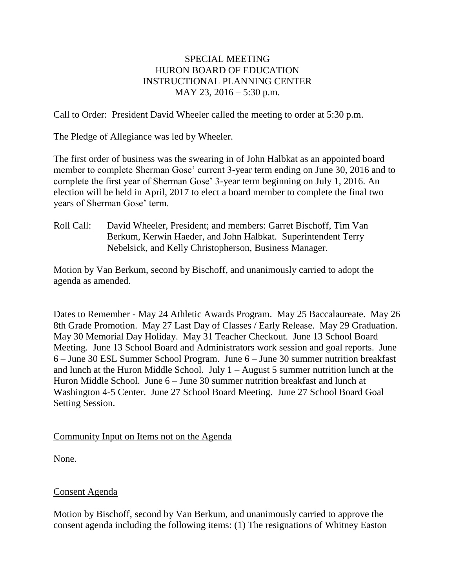# SPECIAL MEETING HURON BOARD OF EDUCATION INSTRUCTIONAL PLANNING CENTER MAY 23, 2016 – 5:30 p.m.

Call to Order: President David Wheeler called the meeting to order at 5:30 p.m.

The Pledge of Allegiance was led by Wheeler.

The first order of business was the swearing in of John Halbkat as an appointed board member to complete Sherman Gose' current 3-year term ending on June 30, 2016 and to complete the first year of Sherman Gose' 3-year term beginning on July 1, 2016. An election will be held in April, 2017 to elect a board member to complete the final two years of Sherman Gose' term.

Roll Call: David Wheeler, President; and members: Garret Bischoff, Tim Van Berkum, Kerwin Haeder, and John Halbkat. Superintendent Terry Nebelsick, and Kelly Christopherson, Business Manager.

Motion by Van Berkum, second by Bischoff, and unanimously carried to adopt the agenda as amended.

Dates to Remember - May 24 Athletic Awards Program. May 25 Baccalaureate. May 26 8th Grade Promotion. May 27 Last Day of Classes / Early Release. May 29 Graduation. May 30 Memorial Day Holiday. May 31 Teacher Checkout. June 13 School Board Meeting. June 13 School Board and Administrators work session and goal reports. June 6 – June 30 ESL Summer School Program. June 6 – June 30 summer nutrition breakfast and lunch at the Huron Middle School. July  $1 -$ August 5 summer nutrition lunch at the Huron Middle School. June 6 – June 30 summer nutrition breakfast and lunch at Washington 4-5 Center. June 27 School Board Meeting. June 27 School Board Goal Setting Session.

### Community Input on Items not on the Agenda

None.

# Consent Agenda

Motion by Bischoff, second by Van Berkum, and unanimously carried to approve the consent agenda including the following items: (1) The resignations of Whitney Easton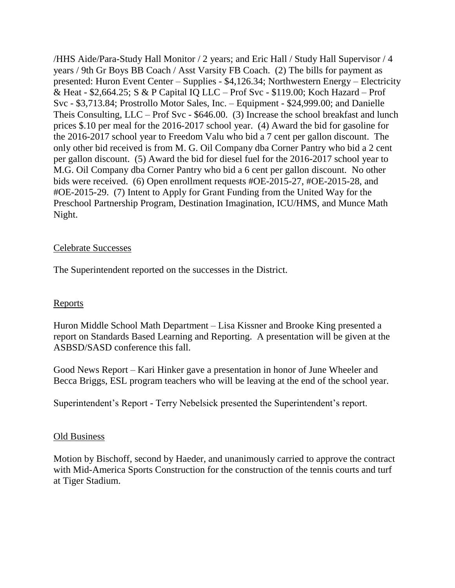/HHS Aide/Para-Study Hall Monitor / 2 years; and Eric Hall / Study Hall Supervisor / 4 years / 9th Gr Boys BB Coach / Asst Varsity FB Coach. (2) The bills for payment as presented: Huron Event Center – Supplies - \$4,126.34; Northwestern Energy – Electricity & Heat - \$2,664.25; S & P Capital IQ LLC – Prof Svc - \$119.00; Koch Hazard – Prof Svc - \$3,713.84; Prostrollo Motor Sales, Inc. – Equipment - \$24,999.00; and Danielle Theis Consulting, LLC – Prof Svc - \$646.00. (3) Increase the school breakfast and lunch prices \$.10 per meal for the 2016-2017 school year. (4) Award the bid for gasoline for the 2016-2017 school year to Freedom Valu who bid a 7 cent per gallon discount. The only other bid received is from M. G. Oil Company dba Corner Pantry who bid a 2 cent per gallon discount. (5) Award the bid for diesel fuel for the 2016-2017 school year to M.G. Oil Company dba Corner Pantry who bid a 6 cent per gallon discount. No other bids were received. (6) Open enrollment requests #OE-2015-27, #OE-2015-28, and #OE-2015-29. (7) Intent to Apply for Grant Funding from the United Way for the Preschool Partnership Program, Destination Imagination, ICU/HMS, and Munce Math Night.

### Celebrate Successes

The Superintendent reported on the successes in the District.

# Reports

Huron Middle School Math Department – Lisa Kissner and Brooke King presented a report on Standards Based Learning and Reporting. A presentation will be given at the ASBSD/SASD conference this fall.

Good News Report – Kari Hinker gave a presentation in honor of June Wheeler and Becca Briggs, ESL program teachers who will be leaving at the end of the school year.

Superintendent's Report - Terry Nebelsick presented the Superintendent's report.

# Old Business

Motion by Bischoff, second by Haeder, and unanimously carried to approve the contract with Mid-America Sports Construction for the construction of the tennis courts and turf at Tiger Stadium.